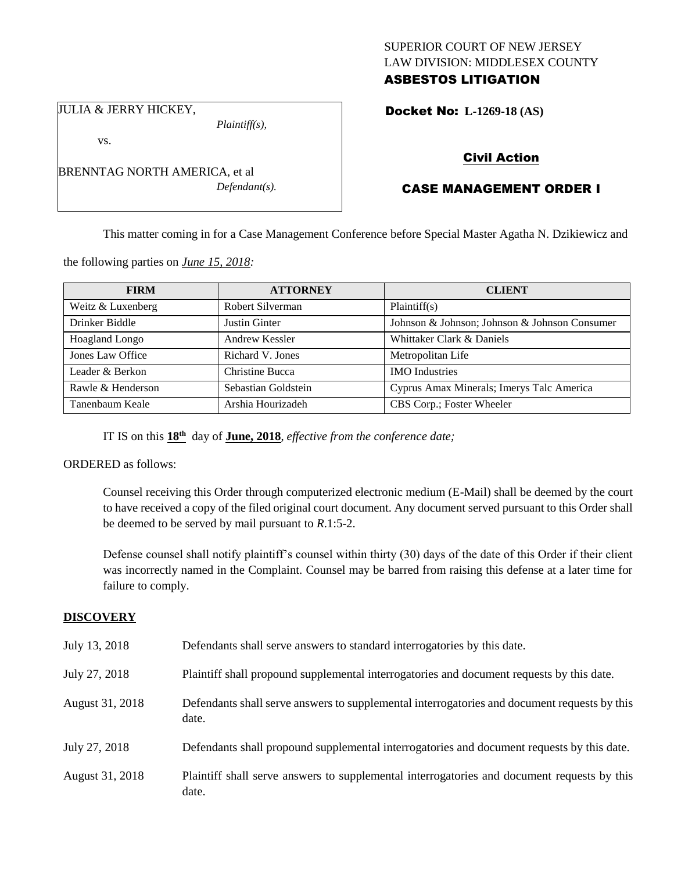## SUPERIOR COURT OF NEW JERSEY LAW DIVISION: MIDDLESEX COUNTY ASBESTOS LITIGATION

Docket No: **L-1269-18 (AS)** 

JULIA & JERRY HICKEY,

vs.

*Plaintiff(s),*

*Defendant(s).*

Civil Action

# CASE MANAGEMENT ORDER I

This matter coming in for a Case Management Conference before Special Master Agatha N. Dzikiewicz and

the following parties on *June 15, 2018:*

BRENNTAG NORTH AMERICA, et al

| <b>FIRM</b>       | <b>ATTORNEY</b>     | <b>CLIENT</b>                                 |
|-------------------|---------------------|-----------------------------------------------|
| Weitz & Luxenberg | Robert Silverman    | Plaintiff(s)                                  |
| Drinker Biddle    | Justin Ginter       | Johnson & Johnson; Johnson & Johnson Consumer |
| Hoagland Longo    | Andrew Kessler      | Whittaker Clark & Daniels                     |
| Jones Law Office  | Richard V. Jones    | Metropolitan Life                             |
| Leader & Berkon   | Christine Bucca     | <b>IMO</b> Industries                         |
| Rawle & Henderson | Sebastian Goldstein | Cyprus Amax Minerals; Imerys Talc America     |
| Tanenbaum Keale   | Arshia Hourizadeh   | CBS Corp.; Foster Wheeler                     |

IT IS on this **18th** day of **June, 2018**, *effective from the conference date;*

ORDERED as follows:

Counsel receiving this Order through computerized electronic medium (E-Mail) shall be deemed by the court to have received a copy of the filed original court document. Any document served pursuant to this Order shall be deemed to be served by mail pursuant to *R*.1:5-2.

Defense counsel shall notify plaintiff's counsel within thirty (30) days of the date of this Order if their client was incorrectly named in the Complaint. Counsel may be barred from raising this defense at a later time for failure to comply.

### **DISCOVERY**

| July 13, 2018   | Defendants shall serve answers to standard interrogatories by this date.                              |
|-----------------|-------------------------------------------------------------------------------------------------------|
| July 27, 2018   | Plaintiff shall propound supplemental interrogatories and document requests by this date.             |
| August 31, 2018 | Defendants shall serve answers to supplemental interrogatories and document requests by this<br>date. |
| July 27, 2018   | Defendants shall propound supplemental interrogatories and document requests by this date.            |
| August 31, 2018 | Plaintiff shall serve answers to supplemental interrogatories and document requests by this<br>date.  |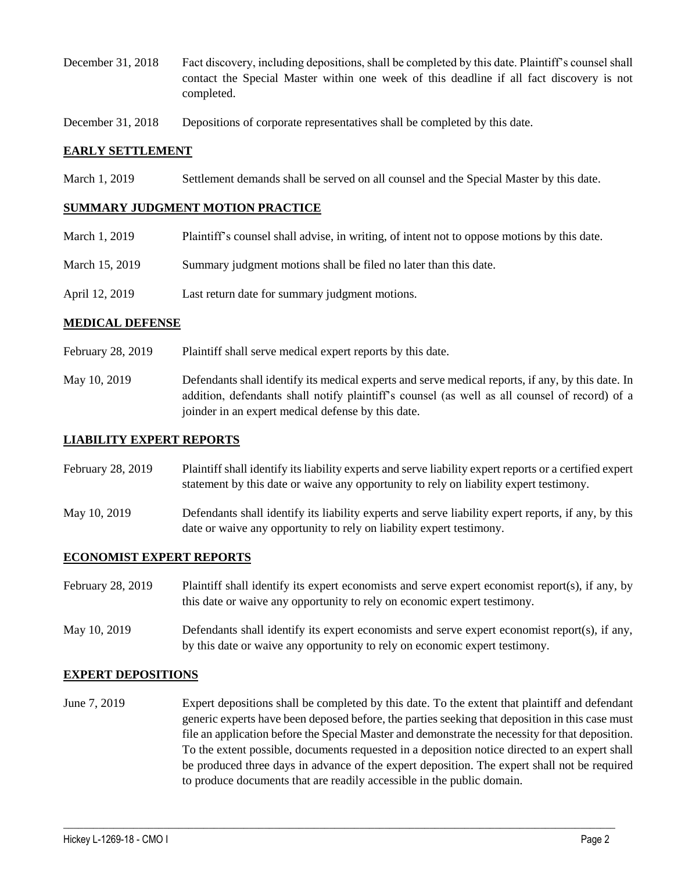- December 31, 2018 Fact discovery, including depositions, shall be completed by this date. Plaintiff's counsel shall contact the Special Master within one week of this deadline if all fact discovery is not completed.
- December 31, 2018 Depositions of corporate representatives shall be completed by this date.

### **EARLY SETTLEMENT**

March 1, 2019 Settlement demands shall be served on all counsel and the Special Master by this date.

#### **SUMMARY JUDGMENT MOTION PRACTICE**

- March 1, 2019 Plaintiff's counsel shall advise, in writing, of intent not to oppose motions by this date.
- March 15, 2019 Summary judgment motions shall be filed no later than this date.
- April 12, 2019 Last return date for summary judgment motions.

### **MEDICAL DEFENSE**

- February 28, 2019 Plaintiff shall serve medical expert reports by this date.
- May 10, 2019 Defendants shall identify its medical experts and serve medical reports, if any, by this date. In addition, defendants shall notify plaintiff's counsel (as well as all counsel of record) of a joinder in an expert medical defense by this date.

#### **LIABILITY EXPERT REPORTS**

February 28, 2019 Plaintiff shall identify its liability experts and serve liability expert reports or a certified expert statement by this date or waive any opportunity to rely on liability expert testimony.

May 10, 2019 Defendants shall identify its liability experts and serve liability expert reports, if any, by this date or waive any opportunity to rely on liability expert testimony.

## **ECONOMIST EXPERT REPORTS**

February 28, 2019 Plaintiff shall identify its expert economists and serve expert economist report(s), if any, by this date or waive any opportunity to rely on economic expert testimony.

May 10, 2019 Defendants shall identify its expert economists and serve expert economist report(s), if any, by this date or waive any opportunity to rely on economic expert testimony.

## **EXPERT DEPOSITIONS**

June 7, 2019 Expert depositions shall be completed by this date. To the extent that plaintiff and defendant generic experts have been deposed before, the parties seeking that deposition in this case must file an application before the Special Master and demonstrate the necessity for that deposition. To the extent possible, documents requested in a deposition notice directed to an expert shall be produced three days in advance of the expert deposition. The expert shall not be required to produce documents that are readily accessible in the public domain.

 $\_$  ,  $\_$  ,  $\_$  ,  $\_$  ,  $\_$  ,  $\_$  ,  $\_$  ,  $\_$  ,  $\_$  ,  $\_$  ,  $\_$  ,  $\_$  ,  $\_$  ,  $\_$  ,  $\_$  ,  $\_$  ,  $\_$  ,  $\_$  ,  $\_$  ,  $\_$  ,  $\_$  ,  $\_$  ,  $\_$  ,  $\_$  ,  $\_$  ,  $\_$  ,  $\_$  ,  $\_$  ,  $\_$  ,  $\_$  ,  $\_$  ,  $\_$  ,  $\_$  ,  $\_$  ,  $\_$  ,  $\_$  ,  $\_$  ,